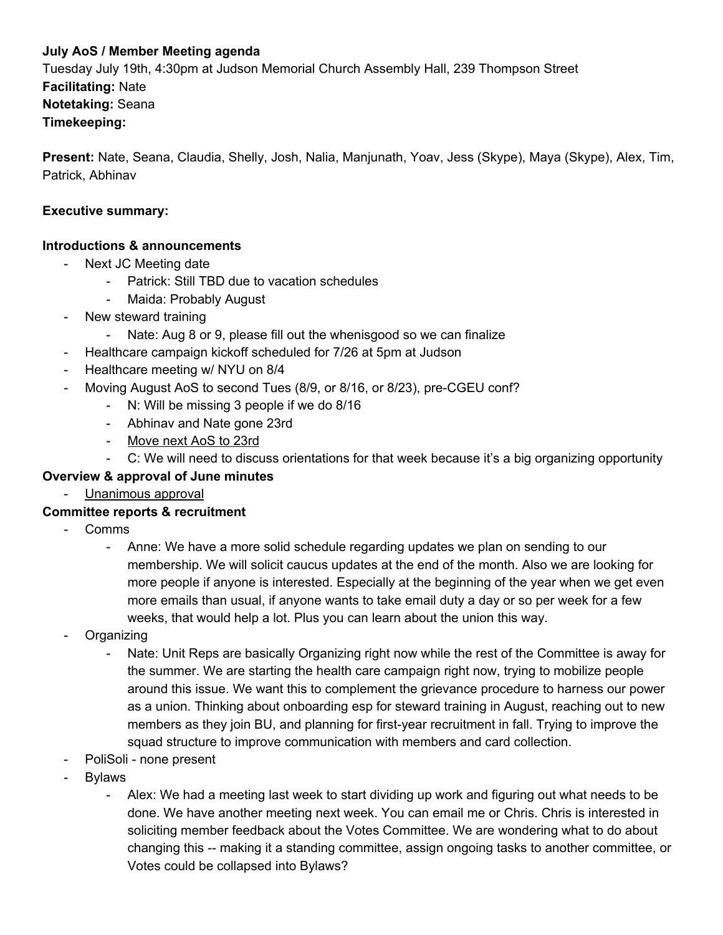#### **July AoS / Member Meeting agenda**

Tuesday July 19th, 4:30pm at Judson Memorial Church Assembly Hall, 239 Thompson Street **Facilitating:** Nate **Notetaking:** Seana **Timekeeping:**

**Present:** Nate, Seana, Claudia, Shelly, Josh, Nalia, Manjunath, Yoav, Jess (Skype), Maya (Skype), Alex, Tim, Patrick, Abhinav

#### **Executive summary:**

#### **Introductions & announcements**

- Next JC Meeting date
	- Patrick: Still TBD due to vacation schedules
	- Maida: Probably August
- New steward training
	- Nate: Aug 8 or 9, please fill out the whenisgood so we can finalize
- Healthcare campaign kickoff scheduled for 7/26 at 5pm at Judson
- Healthcare meeting w/ NYU on 8/4
- Moving August AoS to second Tues (8/9, or 8/16, or 8/23), pre-CGEU conf?
	- N: Will be missing 3 people if we do 8/16
	- Abhinav and Nate gone 23rd
	- Move next AoS to 23rd
	- C: We will need to discuss orientations for that week because it's a big organizing opportunity

#### **Overview & approval of June minutes**

- Unanimous approval

#### **Committee reports & recruitment**

- Comms
	- Anne: We have a more solid schedule regarding updates we plan on sending to our membership. We will solicit caucus updates at the end of the month. Also we are looking for more people if anyone is interested. Especially at the beginning of the year when we get even more emails than usual, if anyone wants to take email duty a day or so per week for a few weeks, that would help a lot. Plus you can learn about the union this way.
- **Organizing** 
	- Nate: Unit Reps are basically Organizing right now while the rest of the Committee is away for the summer. We are starting the health care campaign right now, trying to mobilize people around this issue. We want this to complement the grievance procedure to harness our power as a union. Thinking about onboarding esp for steward training in August, reaching out to new members as they join BU, and planning for first-year recruitment in fall. Trying to improve the squad structure to improve communication with members and card collection.
- PoliSoli none present
- **Bylaws** 
	- Alex: We had a meeting last week to start dividing up work and figuring out what needs to be done. We have another meeting next week. You can email me or Chris. Chris is interested in soliciting member feedback about the Votes Committee. We are wondering what to do about changing this -- making it a standing committee, assign ongoing tasks to another committee, or Votes could be collapsed into Bylaws?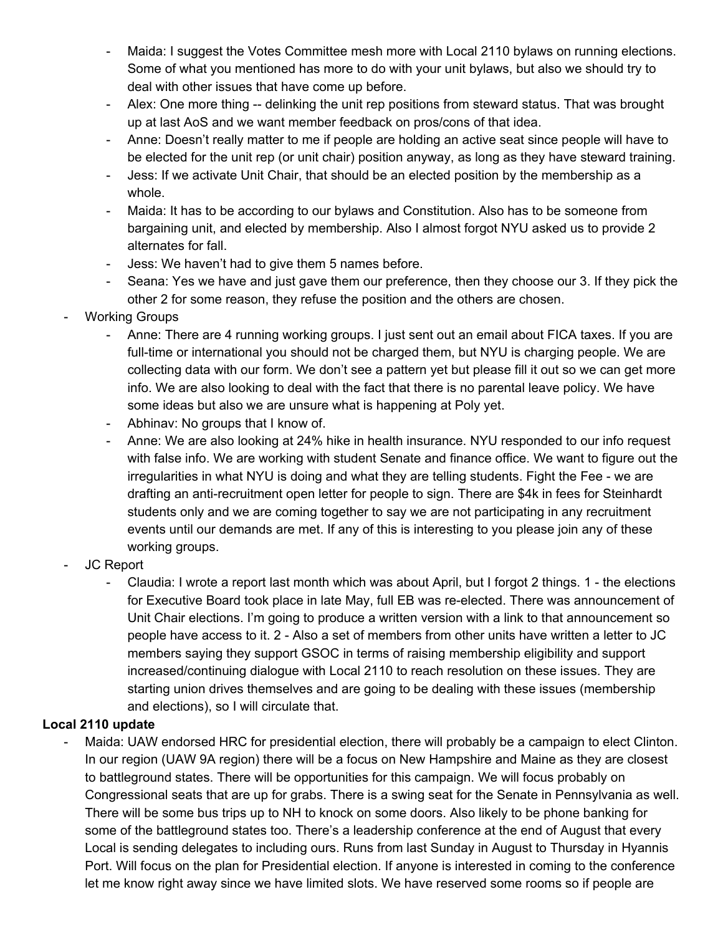- Maida: I suggest the Votes Committee mesh more with Local 2110 bylaws on running elections. Some of what you mentioned has more to do with your unit bylaws, but also we should try to deal with other issues that have come up before.
- Alex: One more thing -- delinking the unit rep positions from steward status. That was brought up at last AoS and we want member feedback on pros/cons of that idea.
- Anne: Doesn't really matter to me if people are holding an active seat since people will have to be elected for the unit rep (or unit chair) position anyway, as long as they have steward training.
- Jess: If we activate Unit Chair, that should be an elected position by the membership as a whole.
- Maida: It has to be according to our bylaws and Constitution. Also has to be someone from bargaining unit, and elected by membership. Also I almost forgot NYU asked us to provide 2 alternates for fall.
- Jess: We haven't had to give them 5 names before.
- Seana: Yes we have and just gave them our preference, then they choose our 3. If they pick the other 2 for some reason, they refuse the position and the others are chosen.
- Working Groups
	- Anne: There are 4 running working groups. I just sent out an email about FICA taxes. If you are full-time or international you should not be charged them, but NYU is charging people. We are collecting data with our form. We don't see a pattern yet but please fill it out so we can get more info. We are also looking to deal with the fact that there is no parental leave policy. We have some ideas but also we are unsure what is happening at Poly yet.
	- Abhinav: No groups that I know of.
	- Anne: We are also looking at 24% hike in health insurance. NYU responded to our info request with false info. We are working with student Senate and finance office. We want to figure out the irregularities in what NYU is doing and what they are telling students. Fight the Fee - we are drafting an anti-recruitment open letter for people to sign. There are \$4k in fees for Steinhardt students only and we are coming together to say we are not participating in any recruitment events until our demands are met. If any of this is interesting to you please join any of these working groups.
- JC Report
	- Claudia: I wrote a report last month which was about April, but I forgot 2 things. 1 the elections for Executive Board took place in late May, full EB was re-elected. There was announcement of Unit Chair elections. I'm going to produce a written version with a link to that announcement so people have access to it. 2 - Also a set of members from other units have written a letter to JC members saying they support GSOC in terms of raising membership eligibility and support increased/continuing dialogue with Local 2110 to reach resolution on these issues. They are starting union drives themselves and are going to be dealing with these issues (membership and elections), so I will circulate that.

## **Local 2110 update**

Maida: UAW endorsed HRC for presidential election, there will probably be a campaign to elect Clinton. In our region (UAW 9A region) there will be a focus on New Hampshire and Maine as they are closest to battleground states. There will be opportunities for this campaign. We will focus probably on Congressional seats that are up for grabs. There is a swing seat for the Senate in Pennsylvania as well. There will be some bus trips up to NH to knock on some doors. Also likely to be phone banking for some of the battleground states too. There's a leadership conference at the end of August that every Local is sending delegates to including ours. Runs from last Sunday in August to Thursday in Hyannis Port. Will focus on the plan for Presidential election. If anyone is interested in coming to the conference let me know right away since we have limited slots. We have reserved some rooms so if people are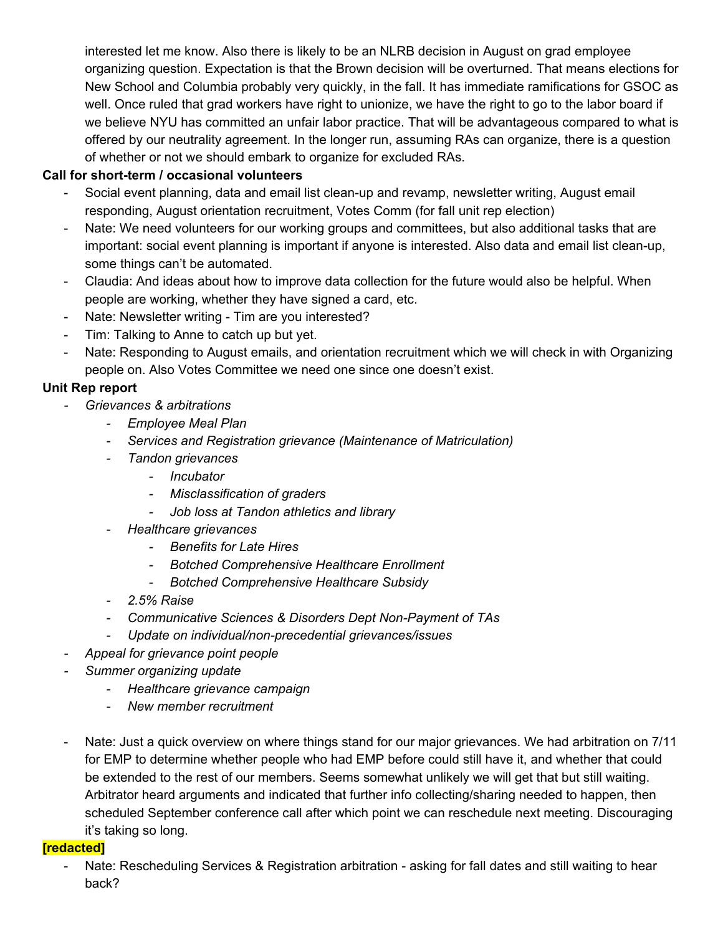interested let me know. Also there is likely to be an NLRB decision in August on grad employee organizing question. Expectation is that the Brown decision will be overturned. That means elections for New School and Columbia probably very quickly, in the fall. It has immediate ramifications for GSOC as well. Once ruled that grad workers have right to unionize, we have the right to go to the labor board if we believe NYU has committed an unfair labor practice. That will be advantageous compared to what is offered by our neutrality agreement. In the longer run, assuming RAs can organize, there is a question of whether or not we should embark to organize for excluded RAs.

#### **Call for short-term / occasional volunteers**

- Social event planning, data and email list clean-up and revamp, newsletter writing, August email responding, August orientation recruitment, Votes Comm (for fall unit rep election)
- Nate: We need volunteers for our working groups and committees, but also additional tasks that are important: social event planning is important if anyone is interested. Also data and email list clean-up, some things can't be automated.
- Claudia: And ideas about how to improve data collection for the future would also be helpful. When people are working, whether they have signed a card, etc.
- Nate: Newsletter writing Tim are you interested?
- Tim: Talking to Anne to catch up but yet.
- Nate: Responding to August emails, and orientation recruitment which we will check in with Organizing people on. Also Votes Committee we need one since one doesn't exist.

## **Unit Rep report**

- *- Grievances & arbitrations*
	- *- Employee Meal Plan*
	- *- Services and Registration grievance (Maintenance of Matriculation)*
	- *- Tandon grievances*
		- *- Incubator*
		- *- Misclassification of graders*
		- *- Job loss at Tandon athletics and library*
	- *- Healthcare grievances*
		- *- Benefits for Late Hires*
		- *- Botched Comprehensive Healthcare Enrollment*
		- *- Botched Comprehensive Healthcare Subsidy*
	- *- 2.5% Raise*
	- *- Communicative Sciences & Disorders Dept Non-Payment of TAs*
	- *- Update on individual/non-precedential grievances/issues*
- *- Appeal for grievance point people*
- *- Summer organizing update*
	- *- Healthcare grievance campaign*
	- *- New member recruitment*
- Nate: Just a quick overview on where things stand for our major grievances. We had arbitration on 7/11 for EMP to determine whether people who had EMP before could still have it, and whether that could be extended to the rest of our members. Seems somewhat unlikely we will get that but still waiting. Arbitrator heard arguments and indicated that further info collecting/sharing needed to happen, then scheduled September conference call after which point we can reschedule next meeting. Discouraging it's taking so long.

#### **[redacted]**

Nate: Rescheduling Services & Registration arbitration - asking for fall dates and still waiting to hear back?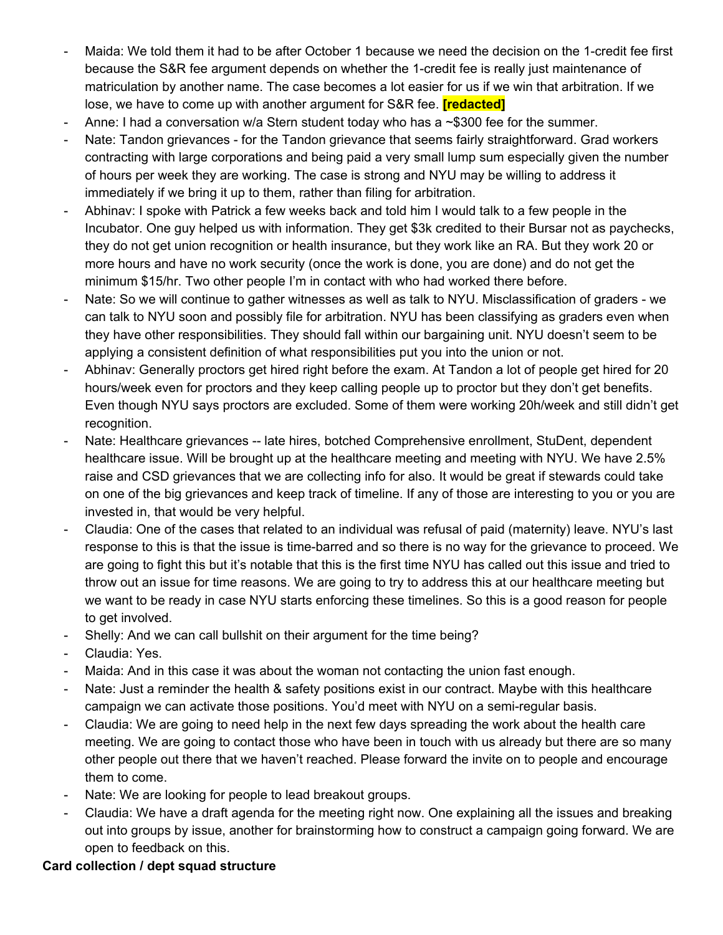- Maida: We told them it had to be after October 1 because we need the decision on the 1-credit fee first because the S&R fee argument depends on whether the 1-credit fee is really just maintenance of matriculation by another name. The case becomes a lot easier for us if we win that arbitration. If we lose, we have to come up with another argument for S&R fee. **[redacted]**
- Anne: I had a conversation w/a Stern student today who has a  $\sim$ \$300 fee for the summer.
- Nate: Tandon grievances for the Tandon grievance that seems fairly straightforward. Grad workers contracting with large corporations and being paid a very small lump sum especially given the number of hours per week they are working. The case is strong and NYU may be willing to address it immediately if we bring it up to them, rather than filing for arbitration.
- Abhinav: I spoke with Patrick a few weeks back and told him I would talk to a few people in the Incubator. One guy helped us with information. They get \$3k credited to their Bursar not as paychecks, they do not get union recognition or health insurance, but they work like an RA. But they work 20 or more hours and have no work security (once the work is done, you are done) and do not get the minimum \$15/hr. Two other people I'm in contact with who had worked there before.
- Nate: So we will continue to gather witnesses as well as talk to NYU. Misclassification of graders we can talk to NYU soon and possibly file for arbitration. NYU has been classifying as graders even when they have other responsibilities. They should fall within our bargaining unit. NYU doesn't seem to be applying a consistent definition of what responsibilities put you into the union or not.
- Abhinav: Generally proctors get hired right before the exam. At Tandon a lot of people get hired for 20 hours/week even for proctors and they keep calling people up to proctor but they don't get benefits. Even though NYU says proctors are excluded. Some of them were working 20h/week and still didn't get recognition.
- Nate: Healthcare grievances -- late hires, botched Comprehensive enrollment, StuDent, dependent healthcare issue. Will be brought up at the healthcare meeting and meeting with NYU. We have 2.5% raise and CSD grievances that we are collecting info for also. It would be great if stewards could take on one of the big grievances and keep track of timeline. If any of those are interesting to you or you are invested in, that would be very helpful.
- Claudia: One of the cases that related to an individual was refusal of paid (maternity) leave. NYU's last response to this is that the issue is time-barred and so there is no way for the grievance to proceed. We are going to fight this but it's notable that this is the first time NYU has called out this issue and tried to throw out an issue for time reasons. We are going to try to address this at our healthcare meeting but we want to be ready in case NYU starts enforcing these timelines. So this is a good reason for people to get involved.
- Shelly: And we can call bullshit on their argument for the time being?
- Claudia: Yes.
- Maida: And in this case it was about the woman not contacting the union fast enough.
- Nate: Just a reminder the health & safety positions exist in our contract. Maybe with this healthcare campaign we can activate those positions. You'd meet with NYU on a semi-regular basis.
- Claudia: We are going to need help in the next few days spreading the work about the health care meeting. We are going to contact those who have been in touch with us already but there are so many other people out there that we haven't reached. Please forward the invite on to people and encourage them to come.
- Nate: We are looking for people to lead breakout groups.
- Claudia: We have a draft agenda for the meeting right now. One explaining all the issues and breaking out into groups by issue, another for brainstorming how to construct a campaign going forward. We are open to feedback on this.

# **Card collection / dept squad structure**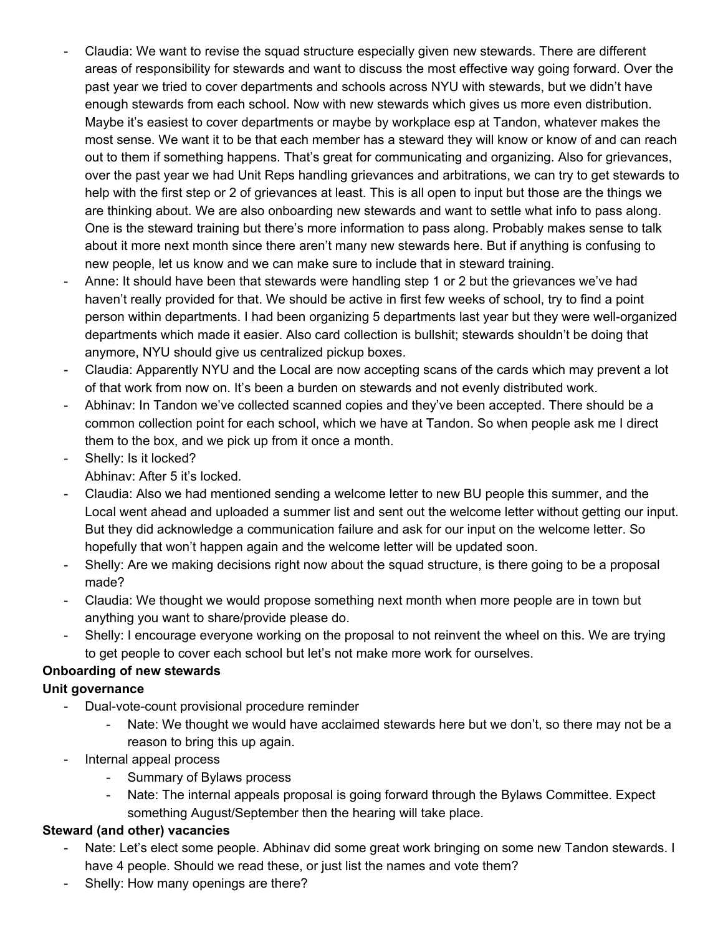- Claudia: We want to revise the squad structure especially given new stewards. There are different areas of responsibility for stewards and want to discuss the most effective way going forward. Over the past year we tried to cover departments and schools across NYU with stewards, but we didn't have enough stewards from each school. Now with new stewards which gives us more even distribution. Maybe it's easiest to cover departments or maybe by workplace esp at Tandon, whatever makes the most sense. We want it to be that each member has a steward they will know or know of and can reach out to them if something happens. That's great for communicating and organizing. Also for grievances, over the past year we had Unit Reps handling grievances and arbitrations, we can try to get stewards to help with the first step or 2 of grievances at least. This is all open to input but those are the things we are thinking about. We are also onboarding new stewards and want to settle what info to pass along. One is the steward training but there's more information to pass along. Probably makes sense to talk about it more next month since there aren't many new stewards here. But if anything is confusing to new people, let us know and we can make sure to include that in steward training.
- Anne: It should have been that stewards were handling step 1 or 2 but the grievances we've had haven't really provided for that. We should be active in first few weeks of school, try to find a point person within departments. I had been organizing 5 departments last year but they were well-organized departments which made it easier. Also card collection is bullshit; stewards shouldn't be doing that anymore, NYU should give us centralized pickup boxes.
- Claudia: Apparently NYU and the Local are now accepting scans of the cards which may prevent a lot of that work from now on. It's been a burden on stewards and not evenly distributed work.
- Abhinav: In Tandon we've collected scanned copies and they've been accepted. There should be a common collection point for each school, which we have at Tandon. So when people ask me I direct them to the box, and we pick up from it once a month.
- Shelly: Is it locked? Abhinav: After 5 it's locked.
- Claudia: Also we had mentioned sending a welcome letter to new BU people this summer, and the Local went ahead and uploaded a summer list and sent out the welcome letter without getting our input. But they did acknowledge a communication failure and ask for our input on the welcome letter. So hopefully that won't happen again and the welcome letter will be updated soon.
- Shelly: Are we making decisions right now about the squad structure, is there going to be a proposal made?
- Claudia: We thought we would propose something next month when more people are in town but anything you want to share/provide please do.
- Shelly: I encourage everyone working on the proposal to not reinvent the wheel on this. We are trying to get people to cover each school but let's not make more work for ourselves.

## **Onboarding of new stewards**

## **Unit governance**

- Dual-vote-count provisional procedure reminder
	- Nate: We thought we would have acclaimed stewards here but we don't, so there may not be a reason to bring this up again.
- Internal appeal process
	- Summary of Bylaws process
	- Nate: The internal appeals proposal is going forward through the Bylaws Committee. Expect something August/September then the hearing will take place.

## **Steward (and other) vacancies**

- Nate: Let's elect some people. Abhinav did some great work bringing on some new Tandon stewards. I have 4 people. Should we read these, or just list the names and vote them?
- Shelly: How many openings are there?